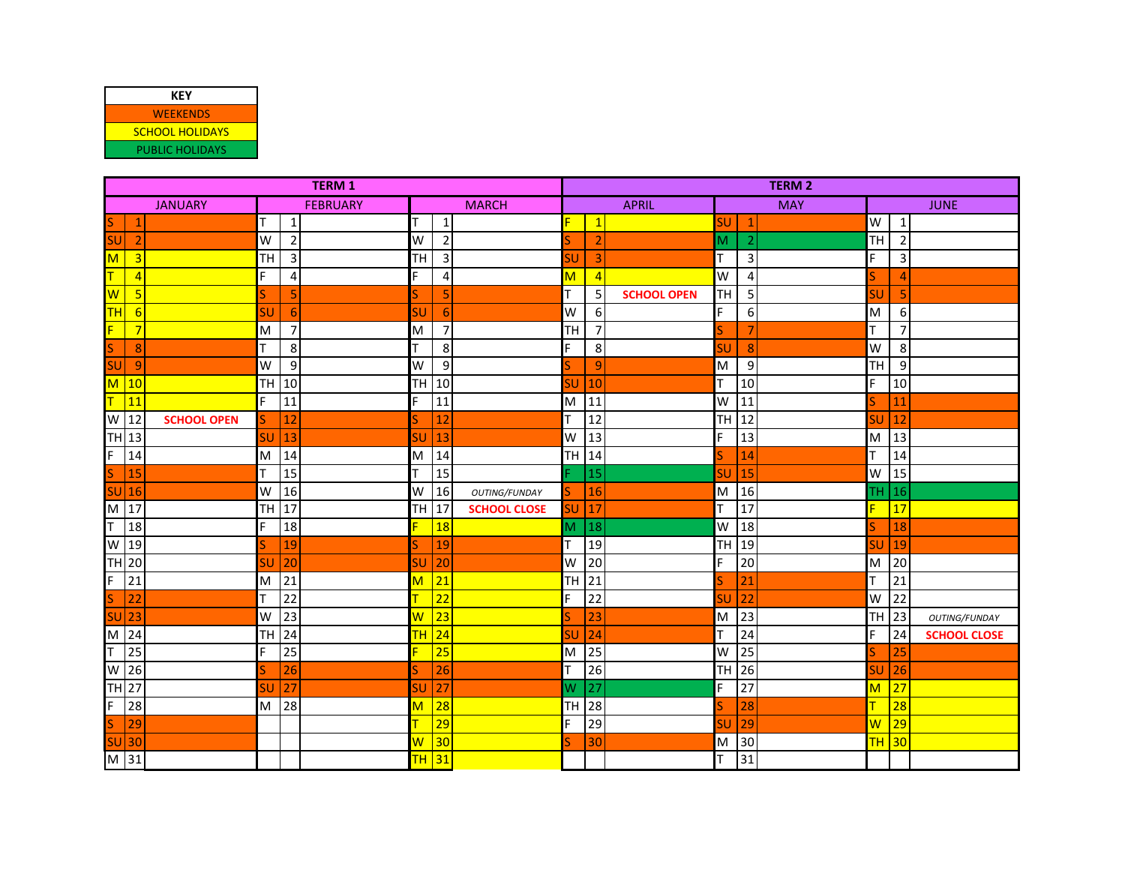| KEY                    |
|------------------------|
| <b>WEEKENDS</b>        |
| <b>SCHOOL HOLIDAYS</b> |
| PUBLIC HOLIDAYS        |

| <b>TERM 1</b>                  |                     |                                        | <b>TERM 2</b>                             |                                         |  |  |
|--------------------------------|---------------------|----------------------------------------|-------------------------------------------|-----------------------------------------|--|--|
| <b>JANUARY</b>                 | <b>FEBRUARY</b>     | <b>MARCH</b>                           | <b>APRIL</b><br><b>MAY</b>                | <b>JUNE</b>                             |  |  |
| <b>S</b>                       | T<br>$\mathbf{1}$   | $\mathbf{1}$                           | F.<br>$\mathbf{1}$<br><b>SU</b>           | W<br>$\mathbf{1}$                       |  |  |
| <b>SU</b><br>$\overline{2}$    | $\overline{2}$<br>W | $\overline{2}$<br>W                    | $\overline{2}$<br>M<br>$\overline{2}$     | $\overline{2}$<br>TH                    |  |  |
| M<br>$\overline{3}$            | TH<br>3             | $\mathsf 3$<br>TН                      | T<br>SU<br>3<br>3                         | 3                                       |  |  |
| т<br>$\overline{4}$            | F.<br>4             | F<br>$\overline{4}$                    | W<br>$\overline{4}$<br>М<br>4             | 4                                       |  |  |
| W<br>5                         | S<br>5              | 5                                      | T<br>TH<br>5<br>5<br><b>SCHOOL OPEN</b>   | 5<br>SU                                 |  |  |
| <b>TH</b><br>6                 | SU<br>6             | SU<br>6                                | F.<br>W<br>6<br>6 <sup>1</sup>            | 6<br>M                                  |  |  |
| F<br>$\overline{7}$            | $\overline{7}$<br>M | 7<br>M                                 | TH<br>$\overline{7}$<br>S                 | 7                                       |  |  |
| S<br>8                         | T<br>8              | 8                                      | F<br>8<br>SU<br>8                         | W<br>8                                  |  |  |
| <b>SU</b><br>$\overline{9}$    | 9<br>W              | 9<br>W                                 | $\overline{9}$<br>M<br>9                  | TH<br>9                                 |  |  |
| $\overline{\mathsf{M}}$<br> 10 | TH<br>10            | 10<br>TH                               | T<br>SU<br>10<br>10                       | 10<br>c                                 |  |  |
| Τ<br>$\sqrt{11}$               | F.<br>11            | 11<br>F                                | W<br>M<br>11<br>11                        | 11                                      |  |  |
| W<br> 12<br><b>SCHOOL OPEN</b> | 12<br>S             | 12                                     | T<br>H<br>12<br>12                        | 12<br>5U                                |  |  |
| TH 13                          | 13<br>SU            | SU<br>13                               | F<br>13<br>W<br>13                        | 13<br>M                                 |  |  |
| F<br>14                        | 14<br>M             | 14<br>M                                | 14<br>TH  <br>Ś<br>14                     | 14                                      |  |  |
| S<br>15                        | T<br>15             | 15                                     | 15<br>15<br>SU                            | 15<br>W                                 |  |  |
| $SU$ 16                        | W<br>16             | 16<br>W<br>OUTING/FUNDAY               | M<br>16<br>16<br>S                        | 16<br>TН                                |  |  |
| M<br> 17                       | TH<br>17            | 17<br><b>TH</b><br><b>SCHOOL CLOSE</b> | $\overline{\mathsf{T}}$<br>17<br>SU<br>17 | 17                                      |  |  |
| T<br>18                        | F<br>18             | 18                                     | W<br>M<br>18<br>18                        | 18                                      |  |  |
| W<br> 19                       | 19                  | 19                                     | T.<br>TН<br>19<br>19                      | 19<br>5U                                |  |  |
| TH 20                          | 20<br>SU            | 20<br>SU                               | $\overline{F}$<br>20<br>20<br>W           | 20<br>M                                 |  |  |
| $\overline{F}$<br>21           | 21<br>M             | 21<br>м                                | TH<br>21<br>S<br>21                       | 21                                      |  |  |
| 22<br>S                        | 22<br>т             | $\overline{22}$                        | F<br>22<br>22<br>SL                       | 22<br>W                                 |  |  |
| <b>SU</b><br>$\frac{1}{23}$    | 23<br>W             | 23<br>w                                | M<br>23<br>S<br>23                        | <b>TH</b><br>23<br><b>OUTING/FUNDAY</b> |  |  |
| M<br> 24                       | <b>TH</b><br>24     | 24<br><b>TH</b>                        | $\mathsf T$<br>24<br>SU<br>24             | 24<br><b>SCHOOL CLOSE</b>               |  |  |
| lτ<br>25                       | F.<br>25            | 25                                     | 25<br>W<br>25<br>M                        | 25                                      |  |  |
| W<br>26                        | 26<br>S             | 26                                     | T<br>26<br>26<br>TН                       | 26<br>SU                                |  |  |
| <b>TH 27</b>                   | 27<br>SU            | 27<br>SU                               | $\overline{F}$<br>27<br>W<br>27           | 27<br>$\overline{\mathsf{M}}$           |  |  |
| F<br>28                        | 28<br>M             | 28<br>М                                | 28<br><b>TH</b><br>28<br>S                | 28                                      |  |  |
| S<br>29                        |                     | 29                                     | F<br>29<br>29<br>SU                       | 29<br>$\overline{\mathsf{W}}$           |  |  |
| $SU$ 30                        |                     | 30<br>$\overline{\mathsf{w}}$          | M<br>30<br>S<br>30                        | <b>TH</b><br>30                         |  |  |
| M 31                           |                     | $TH$ 31                                | $\overline{\mathsf{T}}$<br>31             |                                         |  |  |